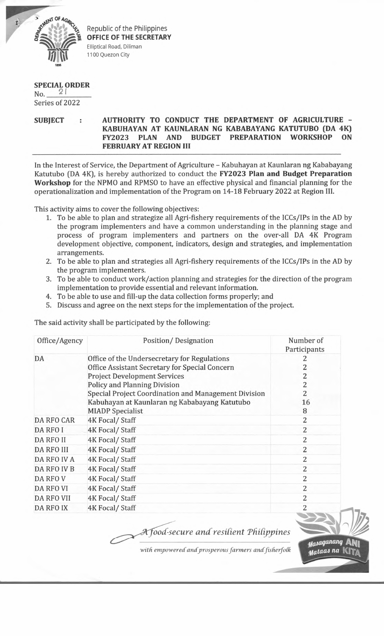

Republic of the Philippines **OFFICE OF THE SECRETARY** Elliptical Road, Diliman 1100 Quezon City

## **SPECIAL ORDER**

No. Series of 2022

## **SUBJECT : AUTHORITY TO CONDUCT THE DEPARTMENT OF AGRICULTURE - KABUHAYAN AT KAUNLARAN NG KABABAYANG KATUTUBO (DA 4K) FY2023 PLAN AND BUDGET PREPARATION WORKSHOP ON FEBRUARY AT REGION III**

In the Interest of Service, the Department of Agriculture - Kabuhayan at Kaunlaran ng Kababayang Katutubo (DA 4K), is hereby authorized to conduct the **FY2023 Plan and Budget Preparation Workshop** for the NPMO and RPMSO to have an effective physical and financial planning for the operationalization and implementation of the Program on 14-18 February 2022 at Region III.

This activity aims to cover the following objectives:

- 1. To be able to plan and strategize all Agri-fishery requirements of the ICCs/IPs in the AD by the program implementers and have a common understanding in the planning stage and process of program implementers and partners on the over-all DA 4K Program development objective, component, indicators, design and strategies, and implementation arrangements.
- 2. To be able to plan and strategies all Agri-fishery requirements of the ICCs/IPs in the AD by the program implementers.
- 3. To be able to conduct work/action planning and strategies for the direction of the program implementation to provide essential and relevant information.
- 4. To be able to use and fill-up the data collection forms properly; and
- 5. Discuss and agree on the next steps for the implementation of the project.

The said activity shall be participated by the following:

| Office/Agency     | Position/Designation                                 | Number of<br>Participants |
|-------------------|------------------------------------------------------|---------------------------|
| DA                | Office of the Undersecretary for Regulations         |                           |
|                   | Office Assistant Secretary for Special Concern       | 2                         |
|                   | <b>Project Development Services</b>                  | 2                         |
|                   | Policy and Planning Division                         | 2                         |
|                   | Special Project Coordination and Management Division | 2                         |
|                   | Kabuhayan at Kaunlaran ng Kababayang Katutubo        | 16                        |
|                   | <b>MIADP</b> Specialist                              | 8                         |
| DA RFO CAR        | 4K Focal/Staff                                       | 2                         |
| DA RFO I          | 4K Focal/Staff                                       | $\overline{2}$            |
| <b>DA RFO II</b>  | 4K Focal/Staff                                       | 2                         |
| <b>DA RFO III</b> | 4K Focal/Staff                                       | 2                         |
| DA RFO IV A       | 4K Focal/Staff                                       | 2                         |
| DA RFO IV B       | 4K Focal/Staff                                       | $\overline{2}$            |
| DA RFO V          | 4K Focal/Staff                                       | 2                         |
| <b>DA RFO VI</b>  | 4K Focal/Staff                                       | $\overline{2}$            |
| <b>DA RFO VII</b> | 4K Focal/Staff                                       | 2                         |
| <b>DA RFO IX</b>  | 4K Focal/Staff                                       | 2                         |

*oocC-secure and resident TfiUippines*

with empowered and prosperous farmers and fisherfolk

**ANI** 

*tfataaJ na* U

<sub>Mas</sub>aganang